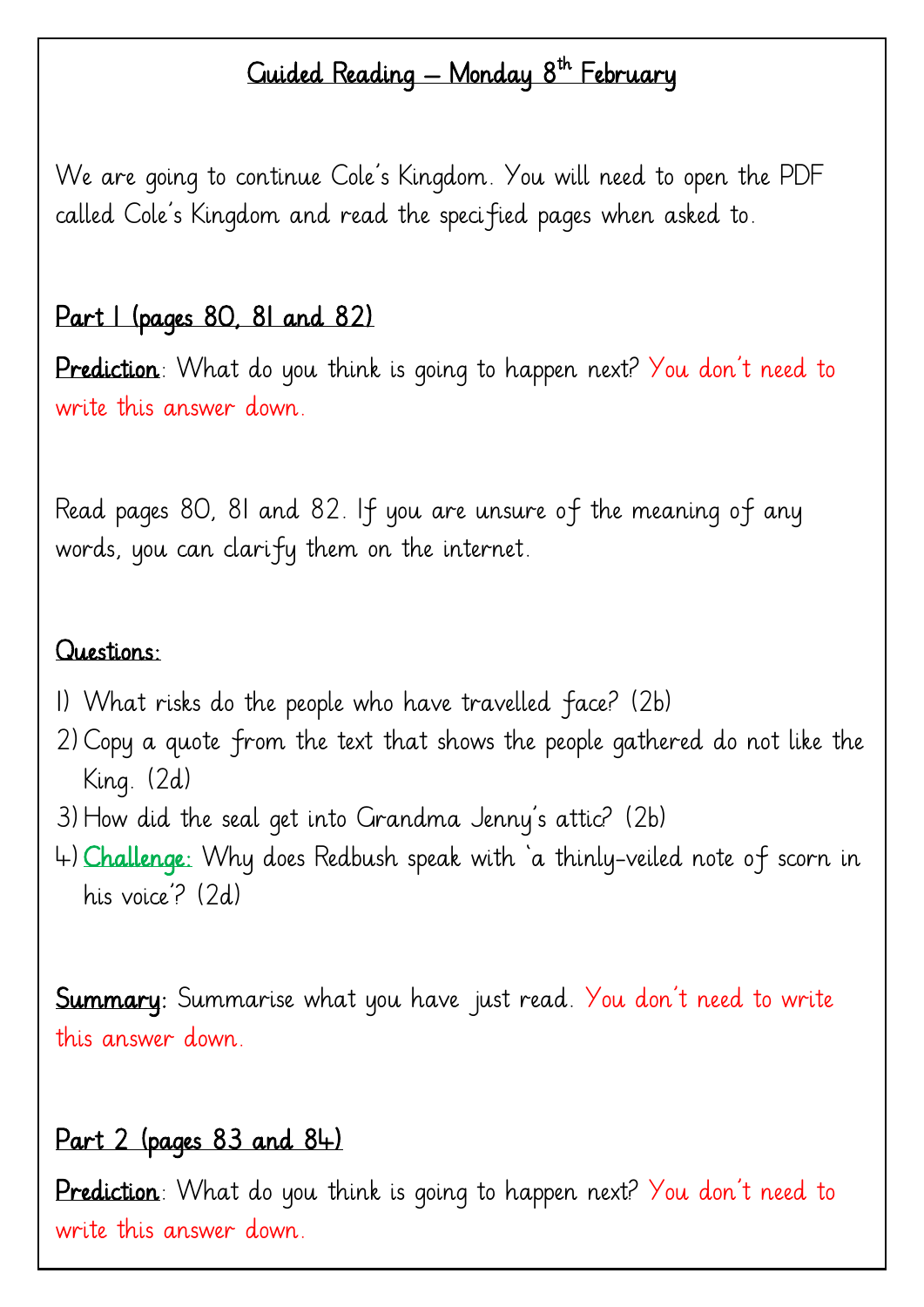# Guided Reading — Monday 8<sup>th</sup> February

We are going to continue Cole's Kingdom. You will need to open the PDF called Cole's Kingdom and read the specified pages when asked to.

#### Part 1 (pages 80, 81 and 82)

Prediction: What do you think is going to happen next? You don't need to write this answer down.

Read pages 80, 81 and 82. If you are unsure of the meaning of any words, you can clarify them on the internet.

#### Questions:

- 1) What risks do the people who have travelled face? (2b)
- 2)Copy a quote from the text that shows the people gathered do not like the King. (2d)
- 3)How did the seal get into Grandma Jenny's attic? (2b)
- 4)Challenge: Why does Redbush speak with 'a thinly-veiled note of scorn in his voice'? (2d)

**Summary**: Summarise what you have just read. You don't need to write this answer down.

# Part 2 (pages 83 and 84)

Prediction: What do you think is going to happen next? You don't need to write this answer down.